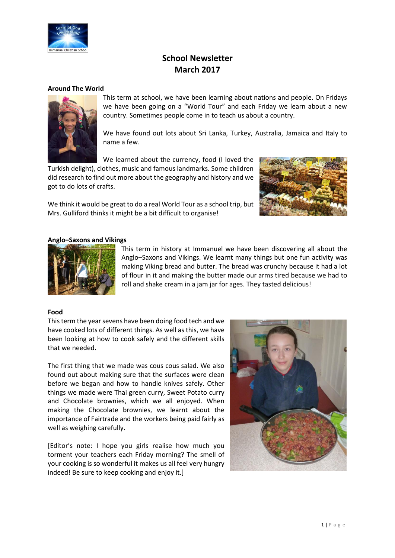

# **School Newsletter March 2017**

### **Around The World**



This term at school, we have been learning about nations and people. On Fridays we have been going on a "World Tour" and each Friday we learn about a new country. Sometimes people come in to teach us about a country.

We have found out lots about Sri Lanka, Turkey, Australia, Jamaica and Italy to name a few.

We learned about the currency, food (I loved the

Turkish delight), clothes, music and famous landmarks. Some children did research to find out more about the geography and history and we got to do lots of crafts.

We think it would be great to do a real World Tour as a school trip, but Mrs. Gulliford thinks it might be a bit difficult to organise!



#### **Anglo–Saxons and Vikings**



This term in history at Immanuel we have been discovering all about the Anglo–Saxons and Vikings. We learnt many things but one fun activity was making Viking bread and butter. The bread was crunchy because it had a lot of flour in it and making the butter made our arms tired because we had to roll and shake cream in a jam jar for ages. They tasted delicious!

#### **Food**

This term the year sevens have been doing food tech and we have cooked lots of different things. As well as this, we have been looking at how to cook safely and the different skills that we needed.

The first thing that we made was cous cous salad. We also found out about making sure that the surfaces were clean before we began and how to handle knives safely. Other things we made were Thai green curry, Sweet Potato curry and Chocolate brownies, which we all enjoyed. When making the Chocolate brownies, we learnt about the importance of Fairtrade and the workers being paid fairly as well as weighing carefully.

[Editor's note: I hope you girls realise how much you torment your teachers each Friday morning? The smell of your cooking is so wonderful it makes us all feel very hungry indeed! Be sure to keep cooking and enjoy it.]

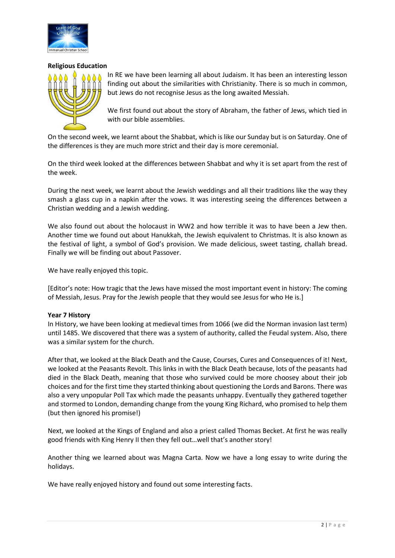

## **Religious Education**



In RE we have been learning all about Judaism. It has been an interesting lesson finding out about the similarities with Christianity. There is so much in common, but Jews do not recognise Jesus as the long awaited Messiah.

We first found out about the story of Abraham, the father of Jews, which tied in with our bible assemblies.

On the second week, we learnt about the Shabbat, which is like our Sunday but is on Saturday. One of the differences is they are much more strict and their day is more ceremonial.

On the third week looked at the differences between Shabbat and why it is set apart from the rest of the week.

During the next week, we learnt about the Jewish weddings and all their traditions like the way they smash a glass cup in a napkin after the vows. It was interesting seeing the differences between a Christian wedding and a Jewish wedding.

We also found out about the holocaust in WW2 and how terrible it was to have been a Jew then. Another time we found out about Hanukkah, the Jewish equivalent to Christmas. It is also known as the festival of light, a symbol of God's provision. We made delicious, sweet tasting, challah bread. Finally we will be finding out about Passover.

We have really enjoyed this topic.

[Editor's note: How tragic that the Jews have missed the most important event in history: The coming of Messiah, Jesus. Pray for the Jewish people that they would see Jesus for who He is.]

## **Year 7 History**

In History, we have been looking at medieval times from 1066 (we did the Norman invasion last term) until 1485. We discovered that there was a system of authority, called the Feudal system. Also, there was a similar system for the church.

After that, we looked at the Black Death and the Cause, Courses, Cures and Consequences of it! Next, we looked at the Peasants Revolt. This links in with the Black Death because, lots of the peasants had died in the Black Death, meaning that those who survived could be more choosey about their job choices and for the first time they started thinking about questioning the Lords and Barons. There was also a very unpopular Poll Tax which made the peasants unhappy. Eventually they gathered together and stormed to London, demanding change from the young King Richard, who promised to help them (but then ignored his promise!)

Next, we looked at the Kings of England and also a priest called Thomas Becket. At first he was really good friends with King Henry II then they fell out…well that's another story!

Another thing we learned about was Magna Carta. Now we have a long essay to write during the holidays.

We have really enjoyed history and found out some interesting facts.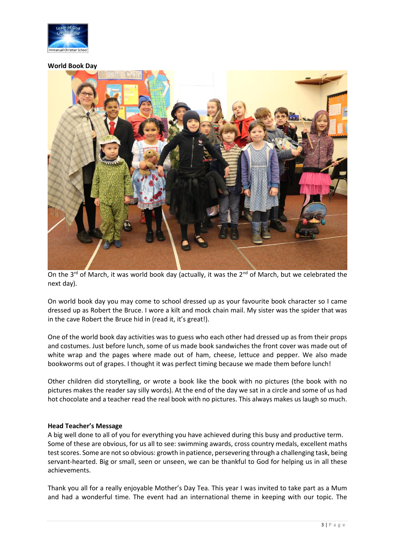

#### **World Book Day**



On the 3<sup>rd</sup> of March, it was world book day (actually, it was the 2<sup>nd</sup> of March, but we celebrated the next day).

On world book day you may come to school dressed up as your favourite book character so I came dressed up as Robert the Bruce. I wore a kilt and mock chain mail. My sister was the spider that was in the cave Robert the Bruce hid in (read it, it's great!).

One of the world book day activities was to guess who each other had dressed up as from their props and costumes. Just before lunch, some of us made book sandwiches the front cover was made out of white wrap and the pages where made out of ham, cheese, lettuce and pepper. We also made bookworms out of grapes. I thought it was perfect timing because we made them before lunch!

Other children did storytelling, or wrote a book like the book with no pictures (the book with no pictures makes the reader say silly words). At the end of the day we sat in a circle and some of us had hot chocolate and a teacher read the real book with no pictures. This always makes us laugh so much.

## **Head Teacher's Message**

A big well done to all of you for everything you have achieved during this busy and productive term. Some of these are obvious, for us all to see: swimming awards, cross country medals, excellent maths test scores. Some are not so obvious: growth in patience, persevering through a challenging task, being servant-hearted. Big or small, seen or unseen, we can be thankful to God for helping us in all these achievements.

Thank you all for a really enjoyable Mother's Day Tea. This year I was invited to take part as a Mum and had a wonderful time. The event had an international theme in keeping with our topic. The